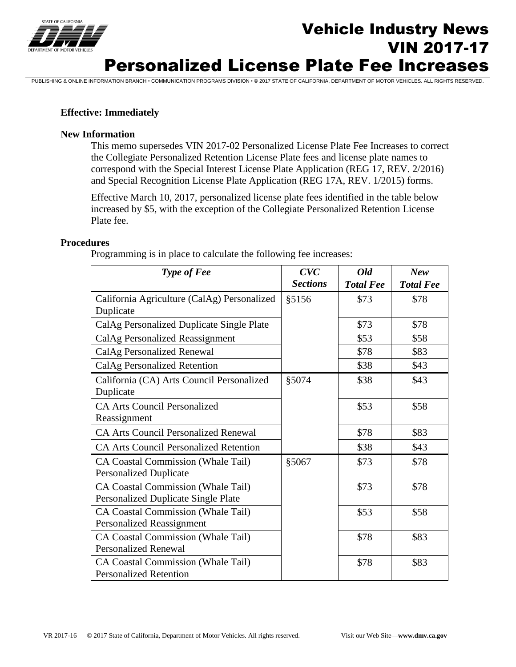

# **Vehicle Industry News**<br>
The *News* VIN 2017-17 Personalized License Plate Fee Increases

PUBLISHING & ONLINE INFORMATION BRANCH • COMMUNICATION PROGRAMS DIVISION • © 2017 STATE OF CALIFORNIA, DEPARTMENT OF MOTOR VEHICLES. ALL RIGHTS RESERVED.

### **Effective: Immediately**

#### **New Information**

This memo supersedes VIN 2017-02 Personalized License Plate Fee Increases to correct the Collegiate Personalized Retention License Plate fees and license plate names to correspond with the Special Interest License Plate Application (REG 17, REV. 2/2016) and Special Recognition License Plate Application (REG 17A, REV. 1/2015) forms.

Effective March 10, 2017, personalized license plate fees identified in the table below increased by \$5, with the exception of the Collegiate Personalized Retention License Plate fee.

#### **Procedures**

Programming is in place to calculate the following fee increases:

| Type of Fee                                   | CVC             | Old              | <b>New</b>       |
|-----------------------------------------------|-----------------|------------------|------------------|
|                                               | <b>Sections</b> | <b>Total Fee</b> | <b>Total Fee</b> |
| California Agriculture (CalAg) Personalized   | §5156           | \$73             | \$78             |
| Duplicate                                     |                 |                  |                  |
| CalAg Personalized Duplicate Single Plate     |                 | \$73             | \$78             |
| CalAg Personalized Reassignment               |                 | \$53             | \$58             |
| CalAg Personalized Renewal                    |                 | \$78             | \$83             |
| CalAg Personalized Retention                  |                 | \$38             | \$43             |
| California (CA) Arts Council Personalized     | §5074           | \$38             | \$43             |
| Duplicate                                     |                 |                  |                  |
| <b>CA Arts Council Personalized</b>           |                 | \$53             | \$58             |
| Reassignment                                  |                 |                  |                  |
| <b>CA Arts Council Personalized Renewal</b>   |                 | \$78             | \$83             |
| <b>CA Arts Council Personalized Retention</b> |                 | \$38             | \$43             |
| <b>CA Coastal Commission (Whale Tail)</b>     | §5067           | \$73             | \$78             |
| <b>Personalized Duplicate</b>                 |                 |                  |                  |
| <b>CA Coastal Commission (Whale Tail)</b>     |                 | \$73             | \$78             |
| <b>Personalized Duplicate Single Plate</b>    |                 |                  |                  |
| <b>CA Coastal Commission (Whale Tail)</b>     |                 | \$53             | \$58             |
| <b>Personalized Reassignment</b>              |                 |                  |                  |
| <b>CA Coastal Commission (Whale Tail)</b>     |                 | \$78             | \$83             |
| <b>Personalized Renewal</b>                   |                 |                  |                  |
| <b>CA Coastal Commission (Whale Tail)</b>     |                 | \$78             | \$83             |
| <b>Personalized Retention</b>                 |                 |                  |                  |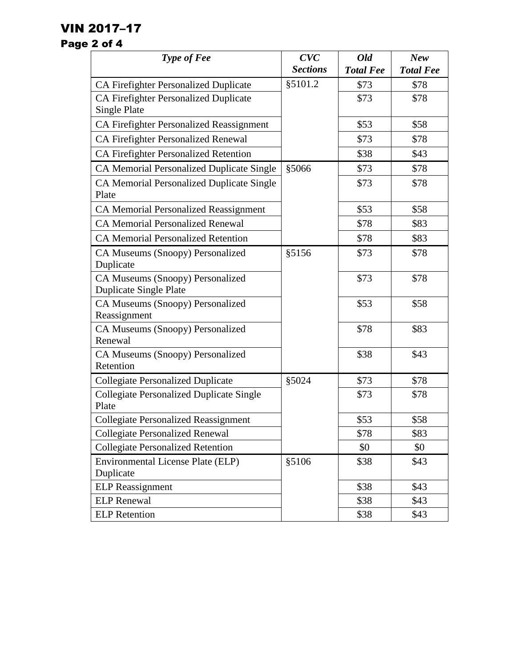## VIN 2017–17

### Page 2 of 4

| Type of Fee                                                       | CVC             | Old              | <b>New</b>       |
|-------------------------------------------------------------------|-----------------|------------------|------------------|
|                                                                   | <b>Sections</b> | <b>Total Fee</b> | <b>Total Fee</b> |
| <b>CA Firefighter Personalized Duplicate</b>                      | §5101.2         | \$73             | \$78             |
| <b>CA Firefighter Personalized Duplicate</b>                      |                 | \$73             | \$78             |
| Single Plate                                                      |                 |                  |                  |
| <b>CA Firefighter Personalized Reassignment</b>                   |                 | \$53             | \$58             |
| CA Firefighter Personalized Renewal                               |                 | \$73             | \$78             |
| CA Firefighter Personalized Retention                             |                 | \$38             | \$43             |
| <b>CA Memorial Personalized Duplicate Single</b>                  | §5066           | \$73             | \$78             |
| <b>CA Memorial Personalized Duplicate Single</b><br>Plate         |                 | \$73             | \$78             |
| <b>CA Memorial Personalized Reassignment</b>                      |                 | \$53             | \$58             |
| <b>CA Memorial Personalized Renewal</b>                           |                 | \$78             | \$83             |
| <b>CA Memorial Personalized Retention</b>                         |                 | \$78             | \$83             |
| CA Museums (Snoopy) Personalized<br>Duplicate                     | \$5156          | \$73             | \$78             |
| CA Museums (Snoopy) Personalized<br><b>Duplicate Single Plate</b> |                 | \$73             | \$78             |
| CA Museums (Snoopy) Personalized<br>Reassignment                  |                 | \$53             | \$58             |
| CA Museums (Snoopy) Personalized<br>Renewal                       |                 | \$78             | \$83             |
| CA Museums (Snoopy) Personalized<br>Retention                     |                 | \$38             | \$43             |
| <b>Collegiate Personalized Duplicate</b>                          | §5024           | \$73             | \$78             |
| <b>Collegiate Personalized Duplicate Single</b><br>Plate          |                 | \$73             | \$78             |
| <b>Collegiate Personalized Reassignment</b>                       |                 | \$53             | \$58             |
| <b>Collegiate Personalized Renewal</b>                            |                 | \$78             | \$83             |
| <b>Collegiate Personalized Retention</b>                          |                 | \$0              | \$0              |
| <b>Environmental License Plate (ELP)</b><br>Duplicate             | §5106           | \$38             | \$43             |
| <b>ELP</b> Reassignment                                           |                 | \$38             | \$43             |
| <b>ELP</b> Renewal                                                |                 | \$38             | \$43             |
| <b>ELP</b> Retention                                              |                 | \$38             | \$43             |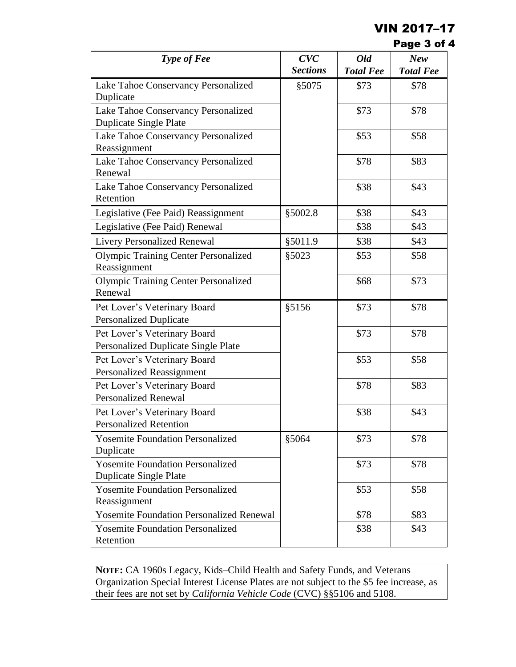### VIN 2017–17

| Page 3 of 4 |  |  |  |
|-------------|--|--|--|
|-------------|--|--|--|

| Type of Fee                                                          | CVC             | <b>Old</b>       | <b>New</b>       |
|----------------------------------------------------------------------|-----------------|------------------|------------------|
|                                                                      | <b>Sections</b> | <b>Total Fee</b> | <b>Total Fee</b> |
| Lake Tahoe Conservancy Personalized<br>Duplicate                     | §5075           | \$73             | \$78             |
| Lake Tahoe Conservancy Personalized<br><b>Duplicate Single Plate</b> |                 | \$73             | \$78             |
| Lake Tahoe Conservancy Personalized<br>Reassignment                  |                 | \$53             | \$58             |
| Lake Tahoe Conservancy Personalized<br>Renewal                       |                 | \$78             | \$83             |
| Lake Tahoe Conservancy Personalized<br>Retention                     |                 | \$38             | \$43             |
| Legislative (Fee Paid) Reassignment                                  | §5002.8         | \$38             | \$43             |
| Legislative (Fee Paid) Renewal                                       |                 | \$38             | \$43             |
| <b>Livery Personalized Renewal</b>                                   | §5011.9         | \$38             | \$43             |
| <b>Olympic Training Center Personalized</b><br>Reassignment          | §5023           | \$53             | \$58             |
| <b>Olympic Training Center Personalized</b><br>Renewal               |                 | \$68             | \$73             |
| Pet Lover's Veterinary Board<br><b>Personalized Duplicate</b>        | §5156           | \$73             | \$78             |
| Pet Lover's Veterinary Board<br>Personalized Duplicate Single Plate  |                 | \$73             | \$78             |
| Pet Lover's Veterinary Board<br><b>Personalized Reassignment</b>     |                 | \$53             | \$58             |
| Pet Lover's Veterinary Board<br><b>Personalized Renewal</b>          |                 | \$78             | \$83             |
| Pet Lover's Veterinary Board<br><b>Personalized Retention</b>        |                 | \$38             | \$43             |
| <b>Yosemite Foundation Personalized</b><br>Duplicate                 | §5064           | \$73             | \$78             |
| <b>Yosemite Foundation Personalized</b><br>Duplicate Single Plate    |                 | \$73             | \$78             |
| <b>Yosemite Foundation Personalized</b><br>Reassignment              |                 | \$53             | \$58             |
| <b>Yosemite Foundation Personalized Renewal</b>                      |                 | \$78             | \$83             |
| <b>Yosemite Foundation Personalized</b><br>Retention                 |                 | \$38             | \$43             |

**NOTE:** CA 1960s Legacy, Kids–Child Health and Safety Funds, and Veterans Organization Special Interest License Plates are not subject to the \$5 fee increase, as their fees are not set by *California Vehicle Code* (CVC) §§5106 and 5108.